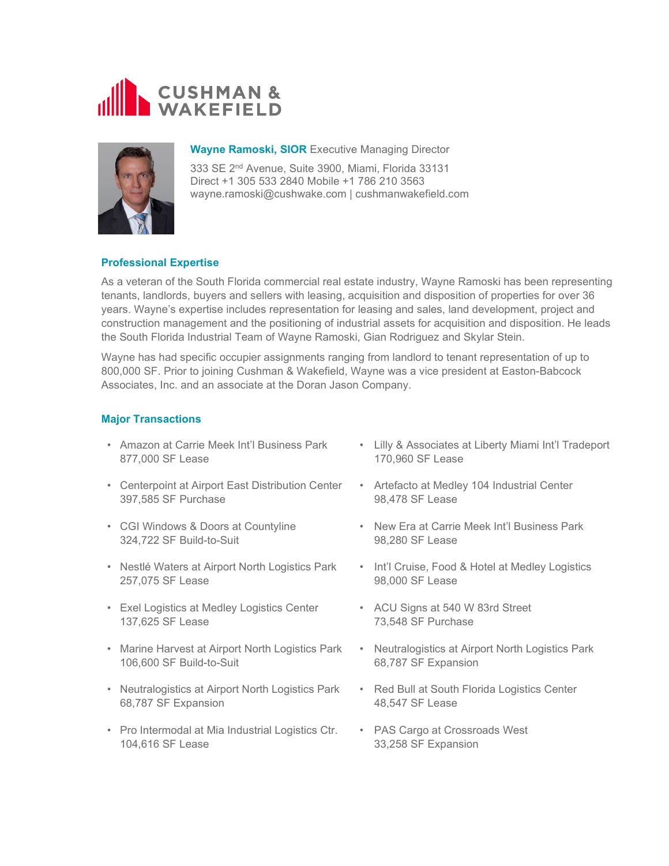



## **Wayne Ramoski, SIOR** Executive Managing Director

333 SE 2nd Avenue, Suite 3900, Miami, Florida 33131 Direct +1 305 533 2840 Mobile +1 786 210 3563 wayne.ramoski@cushwake.com | cushmanwakefield.com

# **Professional Expertise**

As a veteran of the South Florida commercial real estate industry, Wayne Ramoski has been representing tenants, landlords, buyers and sellers with leasing, acquisition and disposition of properties for over 36 years. Wayne's expertise includes representation for leasing and sales, land development, project and construction management and the positioning of industrial assets for acquisition and disposition. He leads the South Florida Industrial Team of Wayne Ramoski, Gian Rodriguez and Skylar Stein.

Wayne has had specific occupier assignments ranging from landlord to tenant representation of up to 800,000 SF. Prior to joining Cushman & Wakefield, Wayne was a vice president at Easton-Babcock Associates, Inc. and an associate at the Doran Jason Company.

# **Major Transactions**

- Amazon at Carrie Meek Int'l Business Park 877,000 SF Lease
- Centerpoint at Airport East Distribution Center 397,585 SF Purchase
- CGI Windows & Doors at Countyline 324,722 SF Build-to-Suit
- Nestlé Waters at Airport North Logistics Park 257,075 SF Lease
- Exel Logistics at Medley Logistics Center 137,625 SF Lease
- Marine Harvest at Airport North Logistics Park 106,600 SF Build-to-Suit
- Neutralogistics at Airport North Logistics Park 68,787 SF Expansion
- Pro Intermodal at Mia Industrial Logistics Ctr. 104,616 SF Lease
- Lilly & Associates at Liberty Miami Int'l Tradeport 170,960 SF Lease
- Artefacto at Medley 104 Industrial Center 98,478 SF Lease
- New Era at Carrie Meek Int'l Business Park 98,280 SF Lease
- Int'l Cruise, Food & Hotel at Medley Logistics 98,000 SF Lease
- ACU Signs at 540 W 83rd Street 73,548 SF Purchase
- Neutralogistics at Airport North Logistics Park 68,787 SF Expansion
- Red Bull at South Florida Logistics Center 48,547 SF Lease
- PAS Cargo at Crossroads West 33,258 SF Expansion